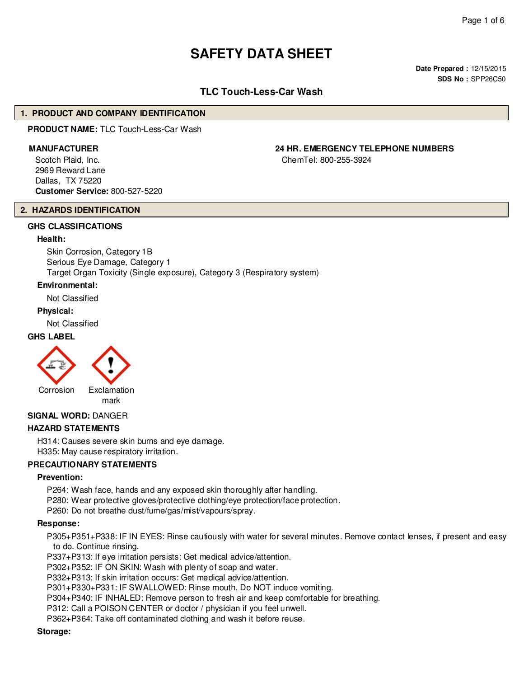# **SAFETY DATA SHEET**

**Date Prepared :** 12/15/2015 **SDS No :** SPP26C50

# **TLC Touch-Less-Car Wash**

#### **1. PRODUCT AND COMPANY IDENTIFICATION**

**PRODUCT NAME:** TLC Touch-Less-Car Wash

#### **MANUFACTURER 24 HR. EMERGENCY TELEPHONE NUMBERS**

Scotch Plaid, Inc. 2969 Reward Lane Dallas, TX 75220 **Customer Service:** 800-527-5220

#### ChemTel: 800-255-3924

# **2. HAZARDS IDENTIFICATION**

## **GHS CLASSIFICATIONS**

#### **Health:**

Skin Corrosion, Category 1B Serious Eye Damage, Category 1 Target Organ Toxicity (Single exposure), Category 3 (Respiratory system)

#### **Environmental:**

Not Classified

#### **Physical:**

Not Classified

## **GHS LABEL**



mark

#### **SIGNAL WORD:** DANGER

#### **HAZARD STATEMENTS**

H314: Causes severe skin burns and eye damage. H335: May cause respiratory irritation.

#### **PRECAUTIONARY STATEMENTS**

#### **Prevention:**

P264: Wash face, hands and any exposed skin thoroughly after handling. P280: Wear protective gloves/protective clothing/eye protection/face protection.

P260: Do not breathe dust/fume/gas/mist/vapours/spray.

#### **Response:**

P305+P351+P338: IF IN EYES: Rinse cautiously with water for several minutes. Remove contact lenses, if present and easy to do. Continue rinsing.

P337+P313: If eye irritation persists: Get medical advice/attention.

P302+P352: IF ON SKIN: Wash with plenty of soap and water.

P332+P313: If skin irritation occurs: Get medical advice/attention.

P301+P330+P331: IF SWALLOWED: Rinse mouth. Do NOT induce vomiting.

P304+P340: IF INHALED: Remove person to fresh air and keep comfortable for breathing.

P312: Call a POISON CENTER or doctor / physician if you feel unwell.

P362+P364: Take off contaminated clothing and wash it before reuse.

#### **Storage:**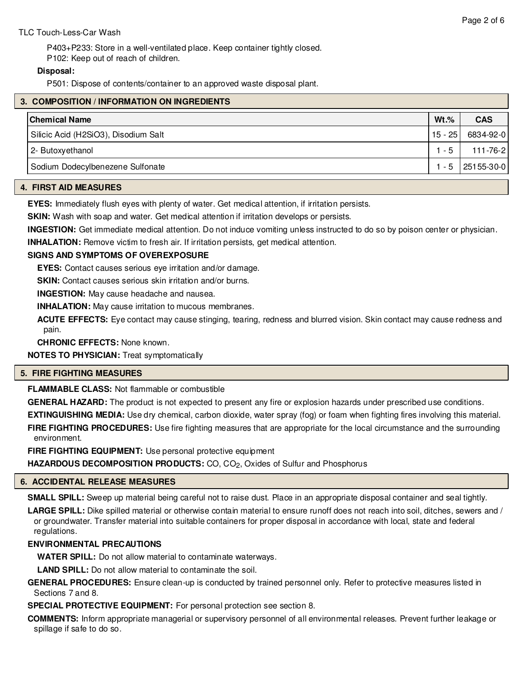## TLC Touch-Less-Car Wash

P403+P233: Store in a well-ventilated place. Keep container tightly closed. P102: Keep out of reach of children.

## **Disposal:**

P501: Dispose of contents/container to an approved waste disposal plant.

|  | 3. COMPOSITION / INFORMATION ON INGREDIENTS |           |                      |
|--|---------------------------------------------|-----------|----------------------|
|  | <b>Chemical Name</b>                        | $Wt.\%$   | <b>CAS</b>           |
|  | Silicic Acid (H2SiO3), Disodium Salt        | $15 - 25$ | 6834-92-0            |
|  | 2- Butoxyethanol                            | $1 - 5$   | 111-76-2             |
|  | Sodium Dodecylbenezene Sulfonate            |           | $1 - 5$   25155-30-0 |
|  |                                             |           |                      |

## **4. FIRST AID MEASURES**

**EYES:** Immediately flush eyes with plenty of water. Get medical attention, if irritation persists.

**SKIN:** Wash with soap and water. Get medical attention if irritation develops or persists.

**INGESTION:** Get immediate medical attention. Do not induce vomiting unless instructed to do so by poison center or physician.

**INHALATION:** Remove victim to fresh air. If irritation persists, get medical attention.

## **SIGNS AND SYMPTOMS OF OVEREXPOSURE**

**EYES:** Contact causes serious eye irritation and/or damage.

**SKIN:** Contact causes serious skin irritation and/or burns.

**INGESTION:** May cause headache and nausea.

**INHALATION:** May cause irritation to mucous membranes.

**ACUTE EFFECTS:** Eye contact may cause stinging, tearing, redness and blurred vision. Skin contact may cause redness and pain.

**CHRONIC EFFECTS:** None known.

**NOTES TO PHYSICIAN:** Treat symptomatically

## **5. FIRE FIGHTING MEASURES**

**FLAMMABLE CLASS:** Not flammable or combustible

**GENERAL HAZARD:** The product is not expected to present any fire or explosion hazards under prescribed use conditions. **EXTINGUISHING MEDIA:** Use dry chemical, carbon dioxide, water spray (fog) or foam when fighting fires involving this material. **FIRE FIGHTING PROCEDURES:** Use fire fighting measures that are appropriate for the local circumstance and the surrounding environment.

**FIRE FIGHTING EQUIPMENT:** Use personal protective equipment

**HAZARDOUS DECOMPOSITION PRODUCTS:** CO, CO<sub>2</sub>, Oxides of Sulfur and Phosphorus

## **6. ACCIDENTAL RELEASE MEASURES**

**SMALL SPILL:** Sweep up material being careful not to raise dust. Place in an appropriate disposal container and seal tightly.

**LARGE SPILL:** Dike spilled material or otherwise contain material to ensure runoff does not reach into soil, ditches, sewers and / or groundwater. Transfer material into suitable containers for proper disposal in accordance with local, state and federal regulations.

# **ENVIRONMENTAL PRECAUTIONS**

**WATER SPILL:** Do not allow material to contaminate waterways.

**LAND SPILL:** Do not allow material to contaminate the soil.

**GENERAL PROCEDURES:** Ensure clean-up is conducted by trained personnel only. Refer to protective measures listed in Sections 7 and 8.

**SPECIAL PROTECTIVE EQUIPMENT:** For personal protection see section 8.

**COMMENTS:** Inform appropriate managerial or supervisory personnel of all environmental releases. Prevent further leakage or spillage if safe to do so.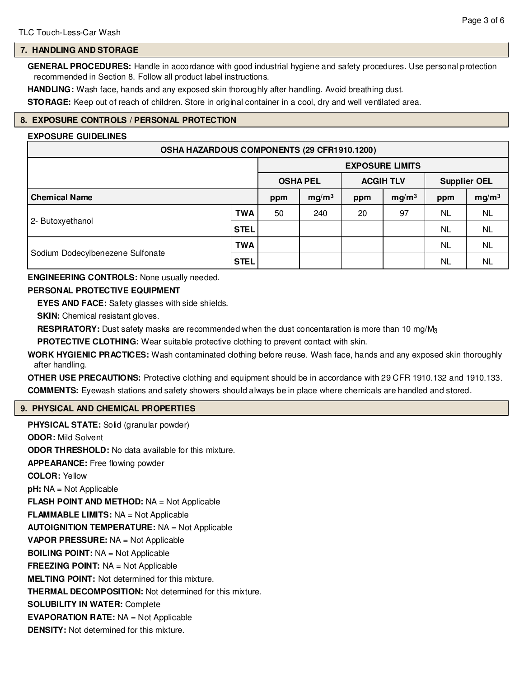# **7. HANDLING AND STORAGE**

**GENERAL PROCEDURES:** Handle in accordance with good industrial hygiene and safety procedures. Use personal protection recommended in Section 8. Follow all product label instructions.

**HANDLING:** Wash face, hands and any exposed skin thoroughly after handling. Avoid breathing dust.

**STORAGE:** Keep out of reach of children. Store in original container in a cool, dry and well ventilated area.

# **8. EXPOSURE CONTROLS / PERSONAL PROTECTION**

#### **EXPOSURE GUIDELINES**

| OSHA HAZARDOUS COMPONENTS (29 CFR1910.1200) |                   |                        |                   |                  |                   |                     |                   |
|---------------------------------------------|-------------------|------------------------|-------------------|------------------|-------------------|---------------------|-------------------|
|                                             |                   | <b>EXPOSURE LIMITS</b> |                   |                  |                   |                     |                   |
|                                             |                   | <b>OSHA PEL</b>        |                   | <b>ACGIH TLV</b> |                   | <b>Supplier OEL</b> |                   |
| <b>Chemical Name</b>                        |                   | ppm                    | mg/m <sup>3</sup> | ppm              | mg/m <sup>3</sup> | ppm                 | mg/m <sup>3</sup> |
|                                             | <b>TWA</b>        | 50                     | 240               | 20               | 97                | NL                  | <b>NL</b>         |
| 2- Butoxyethanol                            | <b>STEL</b><br>NL | <b>NL</b>              |                   |                  |                   |                     |                   |
|                                             | <b>TWA</b>        |                        |                   |                  |                   | NL                  | <b>NL</b>         |
| Sodium Dodecylbenezene Sulfonate            | <b>STEL</b>       |                        |                   |                  |                   | NL                  | <b>NL</b>         |

**ENGINEERING CONTROLS:** None usually needed.

## **PERSONAL PROTECTIVE EQUIPMENT**

**EYES AND FACE:** Safety glasses with side shields.

**SKIN:** Chemical resistant gloves.

**RESPIRATORY:** Dust safety masks are recommended when the dust concentaration is more than 10 mg/M3

**PROTECTIVE CLOTHING:** Wear suitable protective clothing to prevent contact with skin.

**WORK HYGIENIC PRACTICES:** Wash contaminated clothing before reuse. Wash face, hands and any exposed skin thoroughly after handling.

**OTHER USE PRECAUTIONS:** Protective clothing and equipment should be in accordance with 29 CFR 1910.132 and 1910.133. **COMMENTS:** Eyewash stations and safety showers should always be in place where chemicals are handled and stored.

## **9. PHYSICAL AND CHEMICAL PROPERTIES**

**PHYSICAL STATE:** Solid (granular powder) **ODOR:** Mild Solvent **ODOR THRESHOLD:** No data available for this mixture. **APPEARANCE:** Free flowing powder **COLOR:** Yellow **pH:** NA = Not Applicable **FLASH POINT AND METHOD:** NA = Not Applicable **FLAMMABLE LIMITS:** NA = Not Applicable **AUTOIGNITION TEMPERATURE:** NA = Not Applicable **VAPOR PRESSURE:** NA = Not Applicable **BOILING POINT:** NA = Not Applicable **FREEZING POINT:** NA = Not Applicable **MELTING POINT:** Not determined for this mixture. **THERMAL DECOMPOSITION:** Not determined for this mixture. **SOLUBILITY IN WATER:** Complete **EVAPORATION RATE:** NA = Not Applicable **DENSITY:** Not determined for this mixture.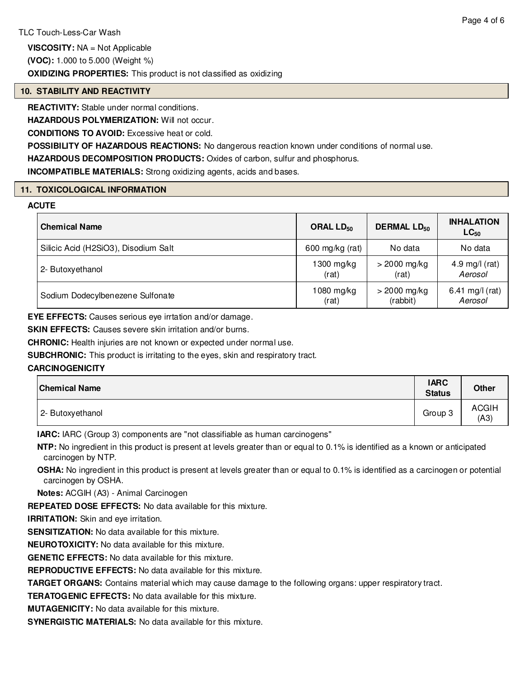**VISCOSITY:** NA = Not Applicable

**(VOC):** 1.000 to 5.000 (Weight %)

# **OXIDIZING PROPERTIES:** This product is not classified as oxidizing

## **10. STABILITY AND REACTIVITY**

**REACTIVITY:** Stable under normal conditions.

**HAZARDOUS POLYMERIZATION:** Will not occur.

**CONDITIONS TO AVOID:** Excessive heat or cold.

**POSSIBILITY OF HAZARDOUS REACTIONS:** No dangerous reaction known under conditions of normal use.

**HAZARDOUS DECOMPOSITION PRODUCTS:** Oxides of carbon, sulfur and phosphorus.

**INCOMPATIBLE MATERIALS:** Strong oxidizing agents, acids and bases.

## **11. TOXICOLOGICAL INFORMATION**

## **ACUTE**

| <b>Chemical Name</b>                 | ORAL $LD_{50}$  | <b>DERMAL LD<sub>50</sub></b> | <b>INHALATION</b><br>$LC_{50}$ |
|--------------------------------------|-----------------|-------------------------------|--------------------------------|
| Silicic Acid (H2SiO3), Disodium Salt | 600 mg/kg (rat) | No data                       | No data                        |
| 2- Butoxyethanol                     | 1300 mg/kg      | $>$ 2000 mg/kg                | 4.9 mg/l (rat)                 |
|                                      | (rat)           | (rat)                         | Aerosol                        |
| Sodium Dodecylbenezene Sulfonate     | 1080 mg/kg      | $>$ 2000 mg/kg                | 6.41 mg/l (rat)                |
|                                      | (rat)           | (rabbit)                      | Aerosol                        |

**EYE EFFECTS:** Causes serious eye irrtation and/or damage.

**SKIN EFFECTS:** Causes severe skin irritation and/or burns.

**CHRONIC:** Health injuries are not known or expected under normal use.

**SUBCHRONIC:** This product is irritating to the eyes, skin and respiratory tract.

## **CARCINOGENICITY**

| <b>Chemical Name</b> | <b>IARC</b><br><b>Status</b> | <b>Other</b>         |
|----------------------|------------------------------|----------------------|
| 2- Butoxyethanol     | Group 3                      | <b>ACGIH</b><br>(A3) |

**IARC:** IARC (Group 3) components are "not classifiable as human carcinogens"

**NTP:** No ingredient in this product is present at levels greater than or equal to 0.1% is identified as a known or anticipated carcinogen by NTP.

**OSHA:** No ingredient in this product is present at levels greater than or equal to 0.1% is identified as a carcinogen or potential carcinogen by OSHA.

**Notes:** ACGIH (A3) - Animal Carcinogen

**REPEATED DOSE EFFECTS:** No data available for this mixture.

**IRRITATION:** Skin and eye irritation.

**SENSITIZATION:** No data available for this mixture.

**NEUROTOXICITY:** No data available for this mixture.

**GENETIC EFFECTS:** No data available for this mixture.

**REPRODUCTIVE EFFECTS:** No data available for this mixture.

**TARGET ORGANS:** Contains material which may cause damage to the following organs: upper respiratory tract.

**TERATOGENIC EFFECTS:** No data available for this mixture.

**MUTAGENICITY:** No data available for this mixture.

**SYNERGISTIC MATERIALS:** No data available for this mixture.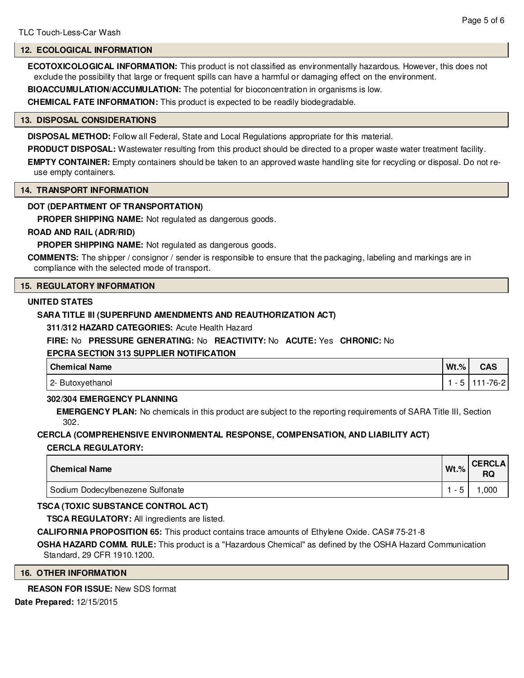## **12. ECOLOGICAL INFORMATION**

**ECOTOXICOLOGICAL INFORMATION:** This product is not classified as environmentally hazardous. However, this does not exclude the possibility that large or frequent spills can have a harmful or damaging effect on the environment.

**BIOACCUMULATION/ACCUMULATION:** The potential for bioconcentration in organisms is low.

**CHEMICAL FATE INFORMATION:** This product is expected to be readily biodegradable.

#### **13. DISPOSAL CONSIDERATIONS**

**DISPOSAL METHOD:** Follow all Federal, State and Local Regulations appropriate for this material.

**PRODUCT DISPOSAL:** Wastewater resulting from this product should be directed to a proper waste water treatment facility.

**EMPTY CONTAINER:** Empty containers should be taken to an approved waste handling site for recycling or disposal. Do not reuse empty containers.

#### **14. TRANSPORT INFORMATION**

## **DOT (DEPARTMENT OF TRANSPORTATION)**

**PROPER SHIPPING NAME:** Not regulated as dangerous goods.

## **ROAD AND RAIL (ADR/RID)**

**PROPER SHIPPING NAME:** Not regulated as dangerous goods.

**COMMENTS:** The shipper / consignor / sender is responsible to ensure that the packaging, labeling and markings are in compliance with the selected mode of transport.

## **15. REGULATORY INFORMATION**

#### **UNITED STATES**

## **SARA TITLE III (SUPERFUND AMENDMENTS AND REAUTHORIZATION ACT)**

**311/312 HAZARD CATEGORIES:** Acute Health Hazard

## **FIRE:** No **PRESSURE GENERATING:** No **REACTIVITY:** No **ACUTE:** Yes **CHRONIC:** No

## **EPCRA SECTION 313 SUPPLIER NOTIFICATION**

| <b>Chemical Name</b> | $Wt.\%$ | <b>CAS</b> |
|----------------------|---------|------------|
| 2- Butoxyethanol     |         | 111-76-21  |

## **302/304 EMERGENCY PLANNING**

**EMERGENCY PLAN:** No chemicals in this product are subject to the reporting requirements of SARA Title III, Section 302.

## **CERCLA (COMPREHENSIVE ENVIRONMENTAL RESPONSE, COMPENSATION, AND LIABILITY ACT) CERCLA REGULATORY:**

| l Chemical Name                  | $Wt.\%$ | <b>CERCLA</b><br>RQ |
|----------------------------------|---------|---------------------|
| Sodium Dodecylbenezene Sulfonate |         | ,000                |

## **TSCA (TOXIC SUBSTANCE CONTROL ACT)**

**TSCA REGULATORY:** All ingredients are listed.

**CALIFORNIA PROPOSITION 65:** This product contains trace amounts of Ethylene Oxide. CAS# 75-21-8

**OSHA HAZARD COMM. RULE:** This product is a "Hazardous Chemical" as defined by the OSHA Hazard Communication Standard, 29 CFR 1910.1200.

#### **16. OTHER INFORMATION**

## **REASON FOR ISSUE:** New SDS format

**Date Prepared:** 12/15/2015